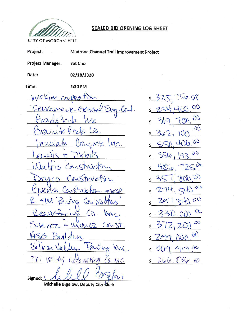

## **SEALED BID OPENING LOG SHEET**

**CITY OF MORGAN HILL** 

| Project:                        | <b>Madrone Channel Trail Improvement Project</b> |                   |
|---------------------------------|--------------------------------------------------|-------------------|
| <b>Project Manager:</b>         | Yat Cho                                          |                   |
| Date:                           | 02/18/2020                                       |                   |
| Time:                           | 2:30 PM                                          |                   |
| MCKIM CONDO                     | m                                                | ζ                 |
|                                 | EWarray Crencial Eng. Cont.                      |                   |
| inde tech                       | $\Lambda c$ .                                    |                   |
| Warn te fool                    | $\omega$ .                                       |                   |
| nuovate                         | Concrete Luc.                                    |                   |
| $e^{\mu \mathbf{u}_1}$ s $\tau$ | IMMIS                                            |                   |
|                                 | S Coust                                          |                   |
| CO Cons                         |                                                  |                   |
| verra Construct                 |                                                  |                   |
|                                 | Paully<br>Con                                    |                   |
|                                 |                                                  |                   |
|                                 | Suavez = Muroz Const.                            | $\frac{2}{5}$     |
| HSG Builders                    |                                                  | $\sqrt{2}$        |
|                                 |                                                  | $5 - \frac{2}{5}$ |
|                                 | Silicon Valley Paving Knc                        | $\frac{2}{5}$     |
|                                 | signed: hell Baylow                              |                   |

 $S_{\varrho,08}$  $37^{3}$  $\overline{O}$  $\partial\widehat{O}$  $\overline{\omega}$  $\lambda$ 106.00 92  $350$ 93  $4000$  $70^{\circ}$  $\infty$ 00  $\infty$  $2^{\mathsf{2}}$  $\infty$  $\delta$ 1900 266,836.00

Michelle Bigelow, Deputy City Clerk